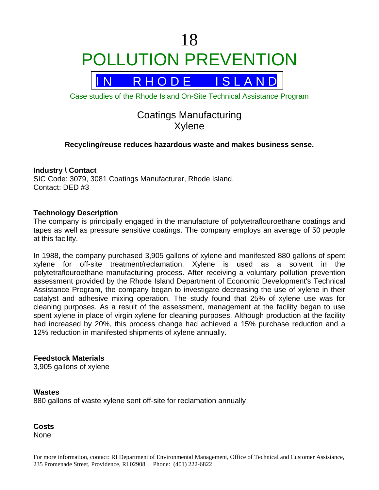# 18 POLLUTION PREVENTION



Case studies of the Rhode Island On-Site Technical Assistance Program

## Coatings Manufacturing Xylene

#### **Recycling/reuse reduces hazardous waste and makes business sense.**

#### **Industry \ Contact**

SIC Code: 3079, 3081 Coatings Manufacturer, Rhode Island. Contact: DED #3

#### **Technology Description**

The company is principally engaged in the manufacture of polytetraflouroethane coatings and tapes as well as pressure sensitive coatings. The company employs an average of 50 people at this facility.

In 1988, the company purchased 3,905 gallons of xylene and manifested 880 gallons of spent xylene for off-site treatment/reclamation. Xylene is used as a solvent in the polytetraflouroethane manufacturing process. After receiving a voluntary pollution prevention assessment provided by the Rhode Island Department of Economic Development's Technical Assistance Program, the company began to investigate decreasing the use of xylene in their catalyst and adhesive mixing operation. The study found that 25% of xylene use was for cleaning purposes. As a result of the assessment, management at the facility began to use spent xylene in place of virgin xylene for cleaning purposes. Although production at the facility had increased by 20%, this process change had achieved a 15% purchase reduction and a 12% reduction in manifested shipments of xylene annually.

#### **Feedstock Materials**

3,905 gallons of xylene

**Wastes**  880 gallons of waste xylene sent off-site for reclamation annually

**Costs**  None